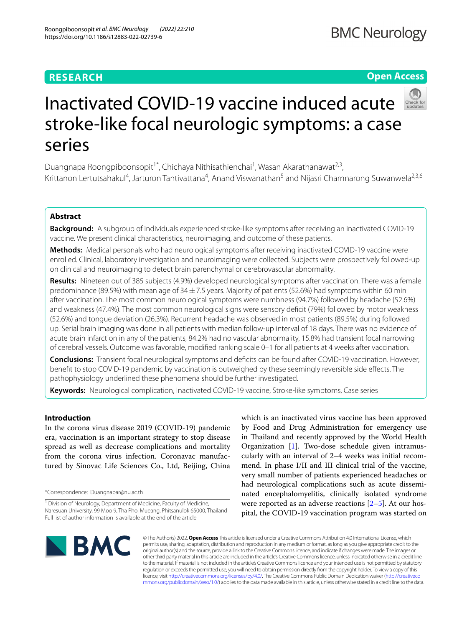## **RESEARCH**

## **Open Access**



# Inactivated COVID-19 vaccine induced acute stroke-like focal neurologic symptoms: a case series

Duangnapa Roongpiboonsopit<sup>1\*</sup>, Chichaya Nithisathienchai<sup>1</sup>, Wasan Akarathanawat<sup>2,3</sup>, Krittanon Lertutsahakul<sup>4</sup>, Jarturon Tantivattana<sup>4</sup>, Anand Viswanathan<sup>5</sup> and Nijasri Charnnarong Suwanwela<sup>2,3,6</sup>

## **Abstract**

**Background:** A subgroup of individuals experienced stroke-like symptoms after receiving an inactivated COVID-19 vaccine. We present clinical characteristics, neuroimaging, and outcome of these patients.

**Methods:** Medical personals who had neurological symptoms after receiving inactivated COVID-19 vaccine were enrolled. Clinical, laboratory investigation and neuroimaging were collected. Subjects were prospectively followed-up on clinical and neuroimaging to detect brain parenchymal or cerebrovascular abnormality.

**Results:** Nineteen out of 385 subjects (4.9%) developed neurological symptoms after vaccination. There was a female predominance (89.5%) with mean age of  $34\pm7.5$  years. Majority of patients (52.6%) had symptoms within 60 min after vaccination. The most common neurological symptoms were numbness (94.7%) followed by headache (52.6%) and weakness (47.4%). The most common neurological signs were sensory defcit (79%) followed by motor weakness (52.6%) and tongue deviation (26.3%). Recurrent headache was observed in most patients (89.5%) during followed up. Serial brain imaging was done in all patients with median follow-up interval of 18 days. There was no evidence of acute brain infarction in any of the patients, 84.2% had no vascular abnormality, 15.8% had transient focal narrowing of cerebral vessels. Outcome was favorable, modifed ranking scale 0–1 for all patients at 4 weeks after vaccination.

**Conclusions:** Transient focal neurological symptoms and defcits can be found after COVID-19 vaccination. However, beneft to stop COVID-19 pandemic by vaccination is outweighed by these seemingly reversible side efects. The pathophysiology underlined these phenomena should be further investigated.

**Keywords:** Neurological complication, Inactivated COVID-19 vaccine, Stroke-like symptoms, Case series

## **Introduction**

In the corona virus disease 2019 (COVID-19) pandemic era, vaccination is an important strategy to stop disease spread as well as decrease complications and mortality from the corona virus infection. Coronavac manufactured by Sinovac Life Sciences Co., Ltd, Beijing, China

\*Correspondence: Duangnapar@nu.ac.th

which is an inactivated virus vaccine has been approved by Food and Drug Administration for emergency use in Thailand and recently approved by the World Health Organization [[1](#page-7-0)]. Two-dose schedule given intramuscularly with an interval of 2–4 weeks was initial recommend. In phase I/II and III clinical trial of the vaccine, very small number of patients experienced headaches or had neurological complications such as acute disseminated encephalomyelitis, clinically isolated syndrome were reported as an adverse reactions  $[2-5]$  $[2-5]$  $[2-5]$ . At our hospital, the COVID-19 vaccination program was started on



© The Author(s) 2022. **Open Access** This article is licensed under a Creative Commons Attribution 4.0 International License, which permits use, sharing, adaptation, distribution and reproduction in any medium or format, as long as you give appropriate credit to the original author(s) and the source, provide a link to the Creative Commons licence, and indicate if changes were made. The images or other third party material in this article are included in the article's Creative Commons licence, unless indicated otherwise in a credit line to the material. If material is not included in the article's Creative Commons licence and your intended use is not permitted by statutory regulation or exceeds the permitted use, you will need to obtain permission directly from the copyright holder. To view a copy of this licence, visit [http://creativecommons.org/licenses/by/4.0/.](http://creativecommons.org/licenses/by/4.0/) The Creative Commons Public Domain Dedication waiver ([http://creativeco](http://creativecommons.org/publicdomain/zero/1.0/) [mmons.org/publicdomain/zero/1.0/](http://creativecommons.org/publicdomain/zero/1.0/)) applies to the data made available in this article, unless otherwise stated in a credit line to the data.

<sup>&</sup>lt;sup>1</sup> Division of Neurology, Department of Medicine, Faculty of Medicine, Naresuan University, 99 Moo 9, Tha Pho, Mueang, Phitsanulok 65000, Thailand Full list of author information is available at the end of the article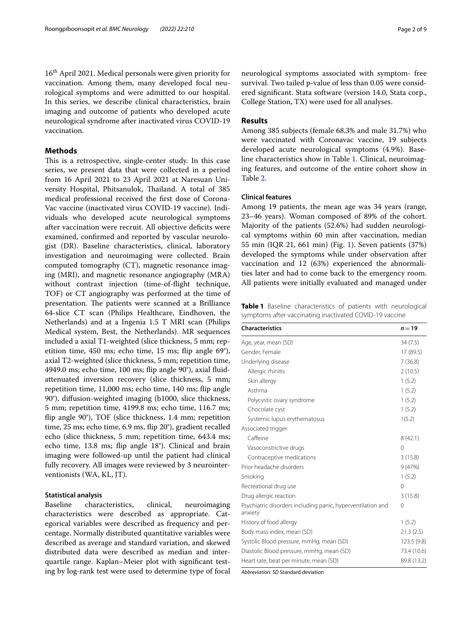16th April 2021. Medical personals were given priority for vaccination. Among them, many developed focal neurological symptoms and were admitted to our hospital. In this series, we describe clinical characteristics, brain imaging and outcome of patients who developed acute neurological syndrome after inactivated virus COVID-19 vaccination.

## **Methods**

This is a retrospective, single-center study. In this case series, we present data that were collected in a period from 16 April 2021 to 23 April 2021 at Naresuan University Hospital, Phitsanulok, Thailand. A total of 385 medical professional received the frst dose of Corona-Vac vaccine (inactivated virus COVID-19 vaccine). Individuals who developed acute neurological symptoms after vaccination were recruit. All objective deficits were examined, confrmed and reported by vascular neurologist (DR). Baseline characteristics, clinical, laboratory investigation and neuroimaging were collected. Brain computed tomography (CT), magnetic resonance imaging (MRI), and magnetic resonance angiography (MRA) without contrast injection (time-of-fight technique, TOF) or CT angiography was performed at the time of presentation. The patients were scanned at a Brilliance 64-slice CT scan (Philips Healthcare, Eindhoven, the Netherlands) and at a Ingenia 1.5 T MRI scan (Philips Medical system, Best, the Netherlands). MR sequences included a axial T1-weighted (slice thickness, 5 mm; repetition time, 450 ms; echo time, 15 ms; fip angle 69°), axial T2-weighted (slice thickness, 5 mm; repetition time, 4949.0 ms; echo time, 100 ms; fip angle 90°), axial fuidattenuated inversion recovery (slice thickness, 5 mm; repetition time, 11,000 ms; echo time, 140 ms; fip angle 90°), difusion-weighted imaging (b1000, slice thickness, 5 mm; repetition time, 4199.8 ms; echo time, 116.7 ms; fip angle 90°), TOF (slice thickness, 1.4 mm; repetition time, 25 ms; echo time, 6.9 ms, fip 20°), gradient recalled echo (slice thickness, 5 mm; repetition time, 643.4 ms; echo time, 13.8 ms; fip angle 18°). Clinical and brain imaging were followed-up until the patient had clinical fully recovery. All images were reviewed by 3 neurointerventionists (WA, KL, JT).

#### **Statistical analysis**

Baseline characteristics, clinical, neuroimaging characteristics were described as appropriate. Categorical variables were described as frequency and percentage. Normally distributed quantitative variables were described as average and standard variation, and skewed distributed data were described as median and interquartile range. Kaplan–Meier plot with signifcant testing by log-rank test were used to determine type of focal neurological symptoms associated with symptom- free survival. Two tailed p-value of less than 0.05 were considered signifcant. Stata software (version 14.0, Stata corp., College Station, TX) were used for all analyses.

## **Results**

Among 385 subjects (female 68.3% and male 31.7%) who were vaccinated with Coronavac vaccine, 19 subjects developed acute neurological symptoms (4.9%). Baseline characteristics show in Table [1](#page-1-0). Clinical, neuroimaging features, and outcome of the entire cohort show in Table [2](#page-2-0).

## **Clinical features**

Among 19 patients, the mean age was 34 years (range, 23–46 years). Woman composed of 89% of the cohort. Majority of the patients (52.6%) had sudden neurological symptoms within 60 min after vaccination, median 55 min (IQR 21, 661 min) (Fig. [1](#page-3-0)). Seven patients (37%) developed the symptoms while under observation after vaccination and 12 (63%) experienced the abnormalities later and had to come back to the emergency room. All patients were initially evaluated and managed under

<span id="page-1-0"></span>**Table 1** Baseline characteristics of patients with neurological symptoms after vaccinating inactivated COVID-19 vaccine

| Age, year, mean (SD)<br>34(7.5)<br>Gender, Female<br>17 (89.5)<br>Underlying disease<br>7(36.8)<br>2(10.5)<br>Allergic rhinitis<br>Skin allergy<br>1(5.2)<br>Asthma<br>1(5.2)<br>Polycystic ovary syndrome<br>1(5.2) | $n = 19$ |
|----------------------------------------------------------------------------------------------------------------------------------------------------------------------------------------------------------------------|----------|
|                                                                                                                                                                                                                      |          |
|                                                                                                                                                                                                                      |          |
|                                                                                                                                                                                                                      |          |
|                                                                                                                                                                                                                      |          |
|                                                                                                                                                                                                                      |          |
|                                                                                                                                                                                                                      |          |
|                                                                                                                                                                                                                      |          |
| 1(5.2)<br>Chocolate cyst                                                                                                                                                                                             |          |
| Systemic lupus erythematosus<br>1(5.2)                                                                                                                                                                               |          |
| Associated trigger                                                                                                                                                                                                   |          |
| Caffeine<br>8(42.1)                                                                                                                                                                                                  |          |
| Vasoconstrictive drugs<br>$\Omega$                                                                                                                                                                                   |          |
| 3(15.8)<br>Contraceptive medications                                                                                                                                                                                 |          |
| Prior headache disorders<br>9(47%)                                                                                                                                                                                   |          |
| Smoking<br>1(5.2)                                                                                                                                                                                                    |          |
| Recreational drug use<br>$\Omega$                                                                                                                                                                                    |          |
| Drug allergic reaction<br>3(15.8)                                                                                                                                                                                    |          |
| Psychiatric disorders including panic, hyperventilation and<br>0<br>anxiety                                                                                                                                          |          |
| History of food allergy<br>1(5.2)                                                                                                                                                                                    |          |
| Body mass index, mean (SD)<br>21.3(2.5)                                                                                                                                                                              |          |
| Systolic Blood pressure, mmHg, mean (SD)<br>123.5 (9.8)                                                                                                                                                              |          |
| 73.4 (10.6)<br>Diastolic Blood pressure, mmHq, mean (SD)                                                                                                                                                             |          |
| 89.8 (13.2)<br>Heart rate, beat per minute, mean (SD)                                                                                                                                                                |          |

*Abbreviation*: *SD* Standard deviation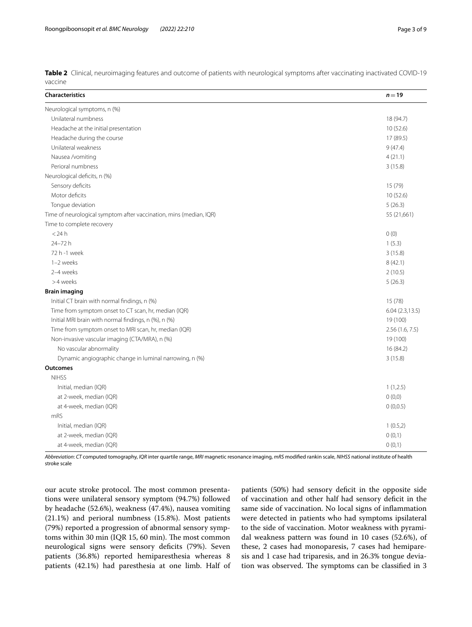<span id="page-2-0"></span>

|         | Table 2 Clinical, neuroimaging features and outcome of patients with neurological symptoms after vaccinating inactivated COVID-19 |  |
|---------|-----------------------------------------------------------------------------------------------------------------------------------|--|
| vaccine |                                                                                                                                   |  |

| <b>Characteristics</b>                                             | $n = 19$        |
|--------------------------------------------------------------------|-----------------|
| Neurological symptoms, n (%)                                       |                 |
| Unilateral numbness                                                | 18 (94.7)       |
| Headache at the initial presentation                               | 10(52.6)        |
| Headache during the course                                         | 17 (89.5)       |
| Unilateral weakness                                                | 9(47.4)         |
| Nausea /vomiting                                                   | 4(21.1)         |
| Perioral numbness                                                  | 3(15.8)         |
| Neurological deficits, n (%)                                       |                 |
| Sensory deficits                                                   | 15 (79)         |
| Motor deficits                                                     | 10(52.6)        |
| Tongue deviation                                                   | 5(26.3)         |
| Time of neurological symptom after vaccination, mins (median, IQR) | 55 (21,661)     |
| Time to complete recovery                                          |                 |
| $<$ 24 h                                                           | 0(0)            |
| 24-72 h                                                            | 1(5.3)          |
| 72 h -1 week                                                       | 3(15.8)         |
| 1-2 weeks                                                          | 8(42.1)         |
| 2-4 weeks                                                          | 2(10.5)         |
| >4 weeks                                                           | 5(26.3)         |
| <b>Brain imaging</b>                                               |                 |
| Initial CT brain with normal findings, n (%)                       | 15 (78)         |
| Time from symptom onset to CT scan, hr, median (IQR)               | 6.04(2.3, 13.5) |
| Initial MRI brain with normal findings, n (%), n (%)               | 19 (100)        |
| Time from symptom onset to MRI scan, hr, median (IQR)              | 2.56(1.6, 7.5)  |
| Non-invasive vascular imaging (CTA/MRA), n (%)                     | 19 (100)        |
| No vascular abnormality                                            | 16 (84.2)       |
| Dynamic angiographic change in luminal narrowing, n (%)            | 3(15.8)         |
| Outcomes                                                           |                 |
| <b>NIHSS</b>                                                       |                 |
| Initial, median (IQR)                                              | 1(1,2.5)        |
| at 2-week, median (IQR)                                            | 0(0,0)          |
| at 4-week, median (IQR)                                            | 0(0,0.5)        |
| mRS                                                                |                 |
| Initial, median (IQR)                                              | 1(0.5,2)        |
| at 2-week, median (IQR)                                            | 0(0,1)          |
| at 4-week, median (IQR)                                            | 0(0,1)          |

*Abbreviation*: *CT* computed tomography, *IQR* inter quartile range, *MRI* magnetic resonance imaging, *mRS* modifed rankin scale, *NIHSS* national institute of health stroke scale

our acute stroke protocol. The most common presentations were unilateral sensory symptom (94.7%) followed by headache (52.6%), weakness (47.4%), nausea vomiting (21.1%) and perioral numbness (15.8%). Most patients (79%) reported a progression of abnormal sensory symptoms within 30 min (IQR 15, 60 min). The most common neurological signs were sensory deficits (79%). Seven patients (36.8%) reported hemiparesthesia whereas 8 patients (42.1%) had paresthesia at one limb. Half of patients (50%) had sensory deficit in the opposite side of vaccination and other half had sensory deficit in the same side of vaccination. No local signs of infammation were detected in patients who had symptoms ipsilateral to the side of vaccination. Motor weakness with pyramidal weakness pattern was found in 10 cases (52.6%), of these, 2 cases had monoparesis, 7 cases had hemiparesis and 1 case had triparesis, and in 26.3% tongue deviation was observed. The symptoms can be classified in 3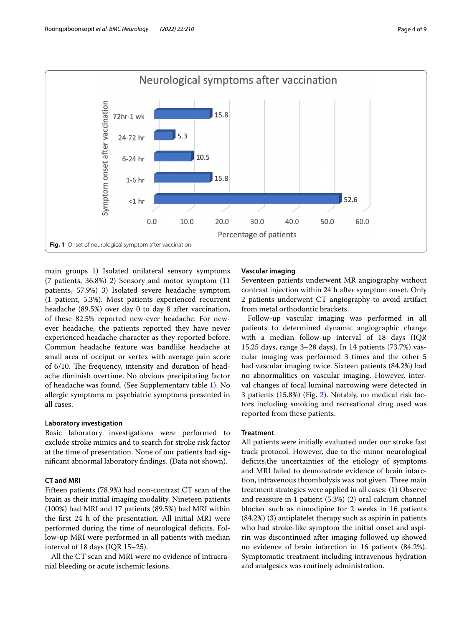

<span id="page-3-0"></span>main groups 1) Isolated unilateral sensory symptoms (7 patients, 36.8%) 2) Sensory and motor symptom (11 patients, 57.9%) 3) Isolated severe headache symptom (1 patient, 5.3%). Most patients experienced recurrent headache (89.5%) over day 0 to day 8 after vaccination, of these 82.5% reported new-ever headache. For newever headache, the patients reported they have never experienced headache character as they reported before. Common headache feature was bandlike headache at small area of occiput or vertex with average pain score of 6/10. The frequency, intensity and duration of headache diminish overtime. No obvious precipitating factor of headache was found. (See Supplementary table [1\)](#page-7-3). No allergic symptoms or psychiatric symptoms presented in all cases.

## **Laboratory investigation**

Basic laboratory investigations were performed to exclude stroke mimics and to search for stroke risk factor at the time of presentation. None of our patients had signifcant abnormal laboratory fndings. (Data not shown).

## **CT and MRI**

Fifteen patients (78.9%) had non-contrast CT scan of the brain as their initial imaging modality. Nineteen patients (100%) had MRI and 17 patients (89.5%) had MRI within the frst 24 h of the presentation. All initial MRI were performed during the time of neurological defcits. Follow-up MRI were performed in all patients with median interval of 18 days (IQR 15–25).

All the CT scan and MRI were no evidence of intracranial bleeding or acute ischemic lesions.

## **Vascular imaging**

Seventeen patients underwent MR angiography without contrast injection within 24 h after symptom onset. Only 2 patients underwent CT angiography to avoid artifact from metal orthodontic brackets.

Follow-up vascular imaging was performed in all patients to determined dynamic angiographic change with a median follow-up interval of 18 days (IQR 15,25 days, range 3–28 days). In 14 patients (73.7%) vascular imaging was performed 3 times and the other 5 had vascular imaging twice. Sixteen patients (84.2%) had no abnormalities on vascular imaging. However, interval changes of focal luminal narrowing were detected in 3 patients (15.8%) (Fig. [2\)](#page-4-0). Notably, no medical risk factors including smoking and recreational drug used was reported from these patients.

### **Treatment**

All patients were initially evaluated under our stroke fast track protocol. However, due to the minor neurological deficits, the uncertainties of the etiology of symptoms and MRI failed to demonstrate evidence of brain infarction, intravenous thrombolysis was not given. Three main treatment strategies were applied in all cases: (1) Observe and reassure in 1 patient (5.3%) (2) oral calcium channel blocker such as nimodipine for 2 weeks in 16 patients (84.2%) (3) antiplatelet therapy such as aspirin in patients who had stroke-like symptom the initial onset and aspirin was discontinued after imaging followed up showed no evidence of brain infarction in 16 patients (84.2%). Symptomatic treatment including intravenous hydration and analgesics was routinely administration.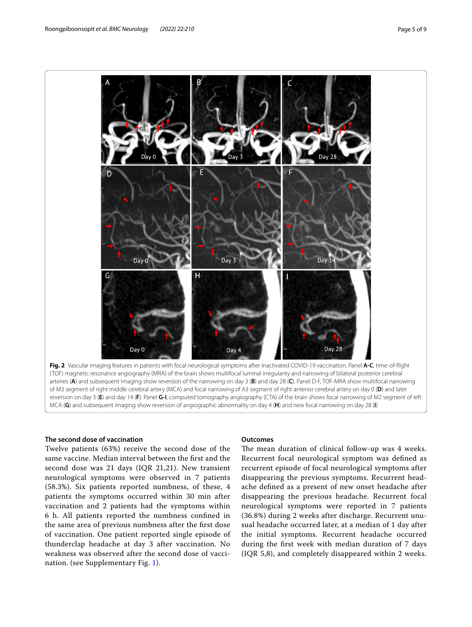

<span id="page-4-0"></span>arteries (**A**) and subsequent imaging show reversion of the narrowing on day 3 (**B**) and day 28 (**C**). Panel D-F, TOF-MRA show multifocal narrowing of M3 segment of right middle cerebral artery (MCA) and focal narrowing of A3 segment of right anterior cerebral artery on day 0 (**D**) and later reversion on day 3 (**E**) and day 14 (**F**). Panel **G-I**, computed tomography angiography (CTA) of the brain shows focal narrowing of M2 segment of left MCA (**G**) and subsequent imaging show reversion of angiographic abnormality on day 4 (**H**) and new focal narrowing on day 28 (**I**)

## **The second dose of vaccination**

Twelve patients (63%) receive the second dose of the same vaccine. Median interval between the frst and the second dose was 21 days (IQR 21,21). New transient neurological symptoms were observed in 7 patients (58.3%). Six patients reported numbness, of these, 4 patients the symptoms occurred within 30 min after vaccination and 2 patients had the symptoms within 6 h. All patients reported the numbness confned in the same area of previous numbness after the frst dose of vaccination. One patient reported single episode of thunderclap headache at day 3 after vaccination. No weakness was observed after the second dose of vaccination. (see Supplementary Fig. [1](#page-7-4)).

## **Outcomes**

The mean duration of clinical follow-up was 4 weeks. Recurrent focal neurological symptom was defned as recurrent episode of focal neurological symptoms after disappearing the previous symptoms. Recurrent headache defned as a present of new onset headache after disappearing the previous headache. Recurrent focal neurological symptoms were reported in 7 patients (36.8%) during 2 weeks after discharge. Recurrent unusual headache occurred later, at a median of 1 day after the initial symptoms. Recurrent headache occurred during the frst week with median duration of 7 days (IQR 5,8), and completely disappeared within 2 weeks.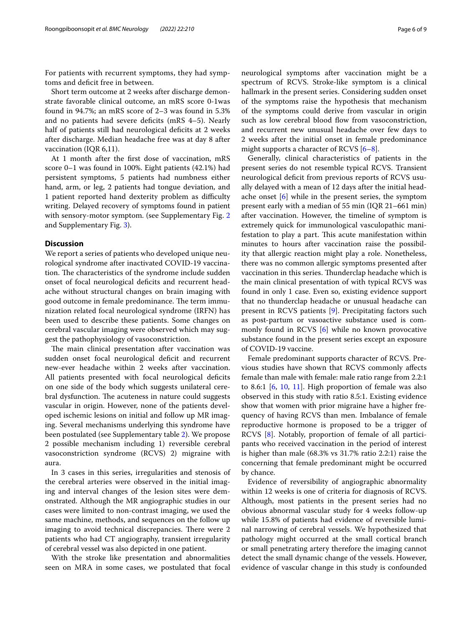For patients with recurrent symptoms, they had symptoms and deficit free in between.

Short term outcome at 2 weeks after discharge demonstrate favorable clinical outcome, an mRS score 0-1was found in 94.7%; an mRS score of 2–3 was found in 5.3% and no patients had severe deficits (mRS 4-5). Nearly half of patients still had neurological deficits at 2 weeks after discharge. Median headache free was at day 8 after vaccination (IQR 6,11).

At 1 month after the frst dose of vaccination, mRS score 0–1 was found in 100%. Eight patients (42.1%) had persistent symptoms, 5 patients had numbness either hand, arm, or leg, 2 patients had tongue deviation, and 1 patient reported hand dexterity problem as difficulty writing. Delayed recovery of symptoms found in patient with sensory-motor symptom. (see Supplementary Fig. [2](#page-7-5) and Supplementary Fig. [3\)](#page-7-6).

## **Discussion**

We report a series of patients who developed unique neurological syndrome after inactivated COVID-19 vaccination. The characteristics of the syndrome include sudden onset of focal neurological deficits and recurrent headache without structural changes on brain imaging with good outcome in female predominance. The term immunization related focal neurological syndrome (IRFN) has been used to describe these patients. Some changes on cerebral vascular imaging were observed which may suggest the pathophysiology of vasoconstriction.

The main clinical presentation after vaccination was sudden onset focal neurological deficit and recurrent new-ever headache within 2 weeks after vaccination. All patients presented with focal neurological deficits on one side of the body which suggests unilateral cerebral dysfunction. The acuteness in nature could suggests vascular in origin. However, none of the patients developed ischemic lesions on initial and follow up MR imaging. Several mechanisms underlying this syndrome have been postulated (see Supplementary table [2\)](#page-7-7). We propose 2 possible mechanism including 1) reversible cerebral vasoconstriction syndrome (RCVS) 2) migraine with aura.

In 3 cases in this series, irregularities and stenosis of the cerebral arteries were observed in the initial imaging and interval changes of the lesion sites were demonstrated. Although the MR angiographic studies in our cases were limited to non-contrast imaging, we used the same machine, methods, and sequences on the follow up imaging to avoid technical discrepancies. There were 2 patients who had CT angiography, transient irregularity of cerebral vessel was also depicted in one patient.

With the stroke like presentation and abnormalities seen on MRA in some cases, we postulated that focal neurological symptoms after vaccination might be a spectrum of RCVS. Stroke-like symptom is a clinical hallmark in the present series. Considering sudden onset of the symptoms raise the hypothesis that mechanism of the symptoms could derive from vascular in origin such as low cerebral blood flow from vasoconstriction, and recurrent new unusual headache over few days to 2 weeks after the initial onset in female predominance might supports a character of RCVS [[6–](#page-7-8)[8\]](#page-7-9).

Generally, clinical characteristics of patients in the present series do not resemble typical RCVS. Transient neurological defcit from previous reports of RCVS usually delayed with a mean of 12 days after the initial headache onset [[6\]](#page-7-8) while in the present series, the symptom present early with a median of 55 min (IQR 21–661 min) after vaccination. However, the timeline of symptom is extremely quick for immunological vasculopathic manifestation to play a part. This acute manifestation within minutes to hours after vaccination raise the possibility that allergic reaction might play a role. Nonetheless, there was no common allergic symptoms presented after vaccination in this series. Tunderclap headache which is the main clinical presentation of with typical RCVS was found in only 1 case. Even so, existing evidence support that no thunderclap headache or unusual headache can present in RCVS patients [\[9](#page-7-10)]. Precipitating factors such as post-partum or vasoactive substance used is commonly found in RCVS [[6](#page-7-8)] while no known provocative substance found in the present series except an exposure of COVID-19 vaccine.

Female predominant supports character of RCVS. Previous studies have shown that RCVS commonly afects female than male with female: male ratio range from 2.2:1 to 8.6:1  $[6, 10, 11]$  $[6, 10, 11]$  $[6, 10, 11]$  $[6, 10, 11]$  $[6, 10, 11]$  $[6, 10, 11]$  $[6, 10, 11]$ . High proportion of female was also observed in this study with ratio 8.5:1. Existing evidence show that women with prior migraine have a higher frequency of having RCVS than men. Imbalance of female reproductive hormone is proposed to be a trigger of RCVS [\[8\]](#page-7-9). Notably, proportion of female of all participants who received vaccination in the period of interest is higher than male (68.3% vs 31.7% ratio 2.2:1) raise the concerning that female predominant might be occurred by chance.

Evidence of reversibility of angiographic abnormality within 12 weeks is one of criteria for diagnosis of RCVS. Although, most patients in the present series had no obvious abnormal vascular study for 4 weeks follow-up while 15.8% of patients had evidence of reversible luminal narrowing of cerebral vessels. We hypothesized that pathology might occurred at the small cortical branch or small penetrating artery therefore the imaging cannot detect the small dynamic change of the vessels. However, evidence of vascular change in this study is confounded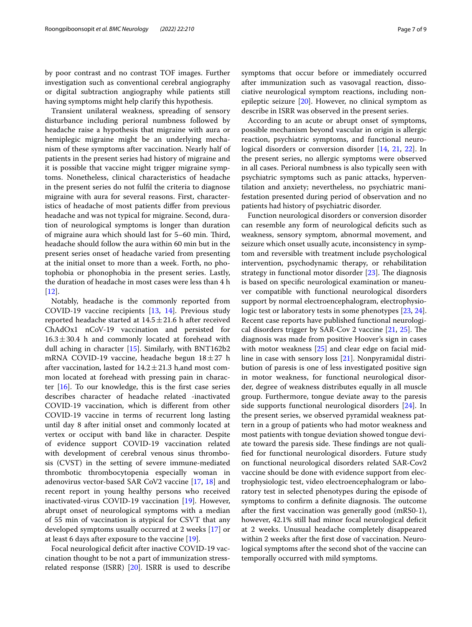by poor contrast and no contrast TOF images. Further investigation such as conventional cerebral angiography or digital subtraction angiography while patients still having symptoms might help clarify this hypothesis.

Transient unilateral weakness, spreading of sensory disturbance including perioral numbness followed by headache raise a hypothesis that migraine with aura or hemiplegic migraine might be an underlying mechanism of these symptoms after vaccination. Nearly half of patients in the present series had history of migraine and it is possible that vaccine might trigger migraine symptoms. Nonetheless, clinical characteristics of headache in the present series do not fulfl the criteria to diagnose migraine with aura for several reasons. First, characteristics of headache of most patients difer from previous headache and was not typical for migraine. Second, duration of neurological symptoms is longer than duration of migraine aura which should last for 5–60 min. Third, headache should follow the aura within 60 min but in the present series onset of headache varied from presenting at the initial onset to more than a week. Forth, no photophobia or phonophobia in the present series. Lastly, the duration of headache in most cases were less than 4 h  $[12]$  $[12]$ .

Notably, headache is the commonly reported from COVID-19 vaccine recipients [[13,](#page-8-3) [14\]](#page-8-4). Previous study reported headache started at  $14.5 \pm 21.6$  h after received ChAdOx1 nCoV-19 vaccination and persisted for  $16.3 \pm 30.4$  h and commonly located at forehead with dull aching in character [\[15](#page-8-5)]. Similarly, with BNT162b2 mRNA COVID-19 vaccine, headache begun  $18 \pm 27$  h after vaccination, lasted for  $14.2 \pm 21.3$  h,and most common located at forehead with pressing pain in character  $[16]$  $[16]$ . To our knowledge, this is the first case series describes character of headache related -inactivated COVID-19 vaccination, which is diferent from other COVID-19 vaccine in terms of recurrent long lasting until day 8 after initial onset and commonly located at vertex or occiput with band like in character. Despite of evidence support COVID-19 vaccination related with development of cerebral venous sinus thrombosis (CVST) in the setting of severe immune-mediated thrombotic thrombocytopenia especially woman in adenovirus vector-based SAR CoV2 vaccine [\[17](#page-8-7), [18](#page-8-8)] and recent report in young healthy persons who received inactivated-virus COVID-19 vaccination [[19\]](#page-8-9). However, abrupt onset of neurological symptoms with a median of 55 min of vaccination is atypical for CSVT that any developed symptoms usually occurred at 2 weeks [[17\]](#page-8-7) or at least 6 days after exposure to the vaccine [[19\]](#page-8-9).

Focal neurological deficit after inactive COVID-19 vaccination thought to be not a part of immunization stressrelated response (ISRR) [\[20](#page-8-10)]. ISRR is used to describe symptoms that occur before or immediately occurred after immunization such as vasovagal reaction, dissociative neurological symptom reactions, including nonepileptic seizure  $[20]$  $[20]$ . However, no clinical symptom as describe in ISRR was observed in the present series.

According to an acute or abrupt onset of symptoms, possible mechanism beyond vascular in origin is allergic reaction, psychiatric symptoms, and functional neurological disorders or conversion disorder [\[14,](#page-8-4) [21,](#page-8-11) [22\]](#page-8-12). In the present series, no allergic symptoms were observed in all cases. Perioral numbness is also typically seen with psychiatric symptoms such as panic attacks, hyperventilation and anxiety; nevertheless, no psychiatric manifestation presented during period of observation and no patients had history of psychiatric disorder.

Function neurological disorders or conversion disorder can resemble any form of neurological defcits such as weakness, sensory symptom, abnormal movement, and seizure which onset usually acute, inconsistency in symptom and reversible with treatment include psychological intervention, psychodynamic therapy, or rehabilitation strategy in functional motor disorder  $[23]$ . The diagnosis is based on specifc neurological examination or maneuver compatible with functional neurological disorders support by normal electroencephalogram, electrophysiologic test or laboratory tests in some phenotypes [[23,](#page-8-13) [24](#page-8-14)]. Recent case reports have published functional neurologi-cal disorders trigger by SAR-Cov 2 vaccine [[21](#page-8-11), [25\]](#page-8-15). The diagnosis was made from positive Hoover's sign in cases with motor weakness [[25\]](#page-8-15) and clear edge on facial midline in case with sensory loss [[21](#page-8-11)]. Nonpyramidal distribution of paresis is one of less investigated positive sign in motor weakness, for functional neurological disorder, degree of weakness distributes equally in all muscle group. Furthermore, tongue deviate away to the paresis side supports functional neurological disorders [[24](#page-8-14)]. In the present series, we observed pyramidal weakness pattern in a group of patients who had motor weakness and most patients with tongue deviation showed tongue deviate toward the paresis side. These findings are not qualifed for functional neurological disorders. Future study on functional neurological disorders related SAR-Cov2 vaccine should be done with evidence support from electrophysiologic test, video electroencephalogram or laboratory test in selected phenotypes during the episode of symptoms to confirm a definite diagnosis. The outcome after the frst vaccination was generally good (mRS0-1), however, 42.1% still had minor focal neurological deficit at 2 weeks. Unusual headache completely disappeared within 2 weeks after the frst dose of vaccination. Neurological symptoms after the second shot of the vaccine can temporally occurred with mild symptoms.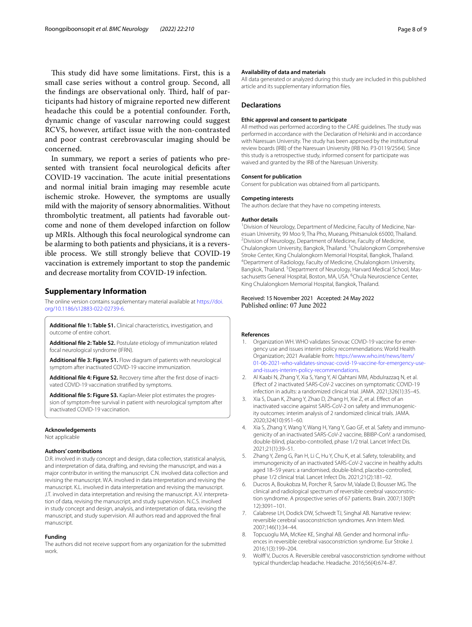This study did have some limitations. First, this is a small case series without a control group. Second, all the findings are observational only. Third, half of participants had history of migraine reported new diferent headache this could be a potential confounder. Forth, dynamic change of vascular narrowing could suggest RCVS, however, artifact issue with the non-contrasted and poor contrast cerebrovascular imaging should be concerned.

In summary, we report a series of patients who presented with transient focal neurological deficits after COVID-19 vaccination. The acute initial presentations and normal initial brain imaging may resemble acute ischemic stroke. However, the symptoms are usually mild with the majority of sensory abnormalities. Without thrombolytic treatment, all patients had favorable outcome and none of them developed infarction on follow up MRIs. Although this focal neurological syndrome can be alarming to both patients and physicians, it is a reversible process. We still strongly believe that COVID-19 vaccination is extremely important to stop the pandemic and decrease mortality from COVID-19 infection.

#### **Supplementary Information**

The online version contains supplementary material available at [https://doi.](https://doi.org/10.1186/s12883-022-02739-6) [org/10.1186/s12883-022-02739-6](https://doi.org/10.1186/s12883-022-02739-6).

<span id="page-7-7"></span><span id="page-7-3"></span>**Additional fle 1: Table S1.** Clinical characteristics, investigation, and outcome of entire cohort.

<span id="page-7-4"></span>**Additional fle 2: Table S2.** Postulate etiology of immunization related focal neurological syndrome (IFRN).

<span id="page-7-5"></span>**Additional fle 3: Figure S1.** Flow diagram of patients with neurological symptom after inactivated COVID-19 vaccine immunization.

<span id="page-7-6"></span>**Additional fle 4: Figure S2.** Recovery time after the frst dose of inactivated COVID-19 vaccination stratifed by symptoms.

**Additional fle 5: Figure S3.** Kaplan-Meier plot estimates the progression of symptom-free survival in patient with neurological symptom after inactivated COVID-19 vaccination.

#### **Acknowledgements**

Not applicable

#### **Authors' contributions**

D.R. involved in study concept and design, data collection, statistical analysis, and interpretation of data, drafting, and revising the manuscript, and was a major contributor in writing the manuscript. C.N. involved data collection and revising the manuscript. W.A. involved in data interpretation and revising the manuscript. K.L. involved in data interpretation and revising the manuscript. J.T. involved in data interpretation and revising the manuscript. A.V. interpretation of data, revising the manuscript, and study supervision. N.C.S. involved in study concept and design, analysis, and interpretation of data, revising the manuscript, and study supervision. All authors read and approved the fnal manuscript.

#### **Funding**

The authors did not receive support from any organization for the submitted work.

#### **Availability of data and materials**

All data generated or analyzed during this study are included in this published article and its supplementary information fles.

#### **Declarations**

#### **Ethic approval and consent to participate**

All method was performed according to the CARE guidelines. The study was performed in accordance with the Declaration of Helsinki and in accordance with Naresuan University. The study has been approved by the institutional review boards (IRB) of the Naresuan University (IRB No. P3-0119/2564). Since this study is a retrospective study, informed consent for participate was waived and granted by the IRB of the Naresuan University.

#### **Consent for publication**

Consent for publication was obtained from all participants.

#### **Competing interests**

The authors declare that they have no competing interests.

#### **Author details**

<sup>1</sup> Division of Neurology, Department of Medicine, Faculty of Medicine, Naresuan University, 99 Moo 9, Tha Pho, Mueang, Phitsanulok 65000, Thailand. 2 <sup>2</sup> Division of Neurology, Department of Medicine, Faculty of Medicine, Chulalongkorn University, Bangkok, Thailand. <sup>3</sup>Chulalongkorn Comprehensive Stroke Center, King Chulalongkorn Memorial Hospital, Bangkok, Thailand. 4 Department of Radiology, Faculty of Medicine, Chulalongkorn University, Bangkok, Thailand. <sup>5</sup> Department of Neurology, Harvard Medical School, Massachusetts General Hospital, Boston, MA, USA. <sup>6</sup>Chula Neuroscience Center, King Chulalongkorn Memorial Hospital, Bangkok, Thailand.

#### Received: 15 November 2021 Accepted: 24 May 2022 Published online: 07 June 2022

#### **References**

- <span id="page-7-0"></span>1. Organization WH. WHO validates Sinovac COVID-19 vaccine for emergency use and issues interim policy recommendations: World Health Organization; 2021 Available from: [https://www.who.int/news/item/](https://www.who.int/news/item/01-06-2021-who-validates-sinovac-covid-19-vaccine-for-emergency-use-and-issues-interim-policy-recommendations) [01-06-2021-who-validates-sinovac-covid-19-vaccine-for-emergency-use](https://www.who.int/news/item/01-06-2021-who-validates-sinovac-covid-19-vaccine-for-emergency-use-and-issues-interim-policy-recommendations)[and-issues-interim-policy-recommendations](https://www.who.int/news/item/01-06-2021-who-validates-sinovac-covid-19-vaccine-for-emergency-use-and-issues-interim-policy-recommendations).
- <span id="page-7-1"></span>2. Al Kaabi N, Zhang Y, Xia S, Yang Y, Al Qahtani MM, Abdulrazzaq N, et al. Efect of 2 inactivated SARS-CoV-2 vaccines on symptomatic COVID-19 infection in adults: a randomized clinical trial. JAMA. 2021;326(1):35–45.
- 3. Xia S, Duan K, Zhang Y, Zhao D, Zhang H, Xie Z, et al. Efect of an inactivated vaccine against SARS-CoV-2 on safety and immunogenicity outcomes: interim analysis of 2 randomized clinical trials. JAMA. 2020;324(10):951–60.
- 4. Xia S, Zhang Y, Wang Y, Wang H, Yang Y, Gao GF, et al. Safety and immunogenicity of an inactivated SARS-CoV-2 vaccine, BBIBP-CorV: a randomised, double-blind, placebo-controlled, phase 1/2 trial. Lancet Infect Dis. 2021;21(1):39–51.
- <span id="page-7-2"></span>5. Zhang Y, Zeng G, Pan H, Li C, Hu Y, Chu K, et al. Safety, tolerability, and immunogenicity of an inactivated SARS-CoV-2 vaccine in healthy adults aged 18–59 years: a randomised, double-blind, placebo-controlled, phase 1/2 clinical trial. Lancet Infect Dis. 2021;21(2):181–92.
- <span id="page-7-8"></span>6. Ducros A, Boukobza M, Porcher R, Sarov M, Valade D, Bousser MG. The clinical and radiological spectrum of reversible cerebral vasoconstriction syndrome. A prospective series of 67 patients. Brain. 2007;130(Pt 12):3091–101.
- 7. Calabrese LH, Dodick DW, Schwedt TJ, Singhal AB. Narrative review: reversible cerebral vasoconstriction syndromes. Ann Intern Med. 2007;146(1):34–44.
- <span id="page-7-9"></span>Topcuoglu MA, McKee KE, Singhal AB. Gender and hormonal influences in reversible cerebral vasoconstriction syndrome. Eur Stroke J. 2016;1(3):199–204.
- <span id="page-7-10"></span>Wolff V, Ducros A. Reversible cerebral vasoconstriction syndrome without typical thunderclap headache. Headache. 2016;56(4):674–87.